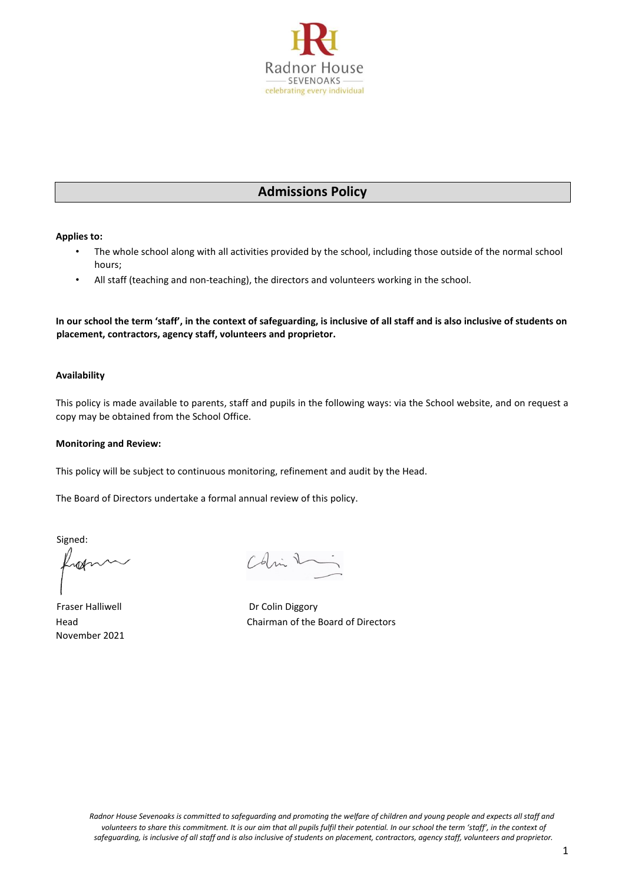

# **Admissions Policy**

**Applies to:** 

- The whole school along with all activities provided by the school, including those outside of the normal school hours;
- All staff (teaching and non-teaching), the directors and volunteers working in the school.

**In our school the term 'staff', in the context of safeguarding, is inclusive of all staff and is also inclusive of students on placement, contractors, agency staff, volunteers and proprietor.**

# **Availability**

This policy is made available to parents, staff and pupils in the following ways: via the School website, and on request a copy may be obtained from the School Office.

#### **Monitoring and Review:**

This policy will be subject to continuous monitoring, refinement and audit by the Head.

The Board of Directors undertake a formal annual review of this policy.

Signed:

rod

Fraser Halliwell **Example 2018** Dr Colin Diggory November 2021

Colin 1

Head Chairman of the Board of Directors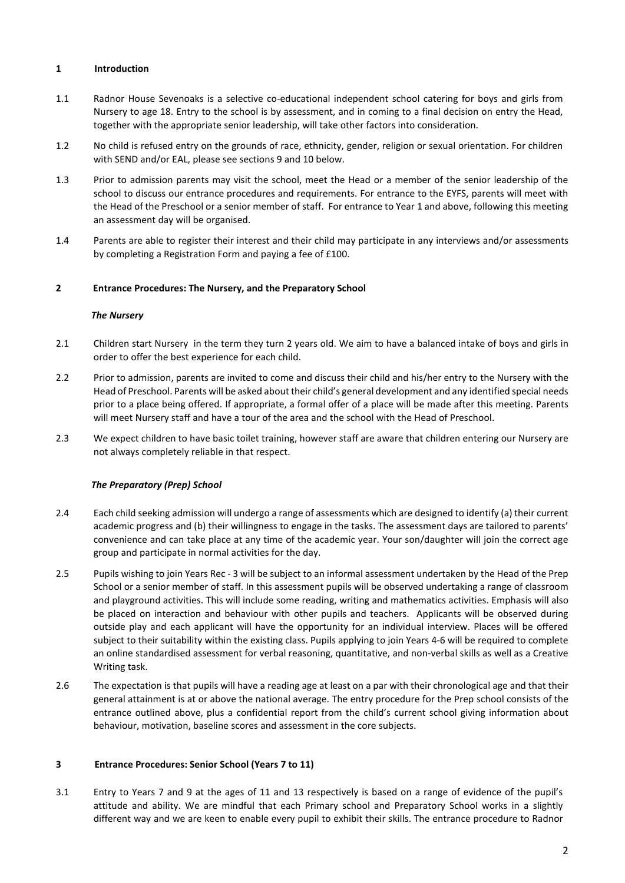## **1 Introduction**

- 1.1 Radnor House Sevenoaks is a selective co-educational independent school catering for boys and girls from Nursery to age 18. Entry to the school is by assessment, and in coming to a final decision on entry the Head, together with the appropriate senior leadership, will take other factors into consideration.
- 1.2 No child is refused entry on the grounds of race, ethnicity, gender, religion or sexual orientation. For children with SEND and/or EAL, please see sections 9 and 10 below.
- 1.3 Prior to admission parents may visit the school, meet the Head or a member of the senior leadership of the school to discuss our entrance procedures and requirements. For entrance to the EYFS, parents will meet with the Head of the Preschool or a senior member of staff. For entrance to Year 1 and above, following this meeting an assessment day will be organised.
- 1.4 Parents are able to register their interest and their child may participate in any interviews and/or assessments by completing a Registration Form and paying a fee of £100.

## **2 Entrance Procedures: The Nursery, and the Preparatory School**

## *The Nursery*

- 2.1 Children start Nursery in the term they turn 2 years old. We aim to have a balanced intake of boys and girls in order to offer the best experience for each child.
- 2.2 Prior to admission, parents are invited to come and discuss their child and his/her entry to the Nursery with the Head of Preschool. Parents will be asked about their child's general development and any identified special needs prior to a place being offered. If appropriate, a formal offer of a place will be made after this meeting. Parents will meet Nursery staff and have a tour of the area and the school with the Head of Preschool.
- 2.3 We expect children to have basic toilet training, however staff are aware that children entering our Nursery are not always completely reliable in that respect.

# *The Preparatory (Prep) School*

- 2.4 Each child seeking admission will undergo a range of assessments which are designed to identify (a) their current academic progress and (b) their willingness to engage in the tasks. The assessment days are tailored to parents' convenience and can take place at any time of the academic year. Your son/daughter will join the correct age group and participate in normal activities for the day.
- 2.5 Pupils wishing to join Years Rec 3 will be subject to an informal assessment undertaken by the Head of the Prep School or a senior member of staff. In this assessment pupils will be observed undertaking a range of classroom and playground activities. This will include some reading, writing and mathematics activities. Emphasis will also be placed on interaction and behaviour with other pupils and teachers. Applicants will be observed during outside play and each applicant will have the opportunity for an individual interview. Places will be offered subject to their suitability within the existing class. Pupils applying to join Years 4-6 will be required to complete an online standardised assessment for verbal reasoning, quantitative, and non-verbal skills as well as a Creative Writing task.
- 2.6 The expectation is that pupils will have a reading age at least on a par with their chronological age and that their general attainment is at or above the national average. The entry procedure for the Prep school consists of the entrance outlined above, plus a confidential report from the child's current school giving information about behaviour, motivation, baseline scores and assessment in the core subjects.

## **3 Entrance Procedures: Senior School (Years 7 to 11)**

3.1 Entry to Years 7 and 9 at the ages of 11 and 13 respectively is based on a range of evidence of the pupil's attitude and ability. We are mindful that each Primary school and Preparatory School works in a slightly different way and we are keen to enable every pupil to exhibit their skills. The entrance procedure to Radnor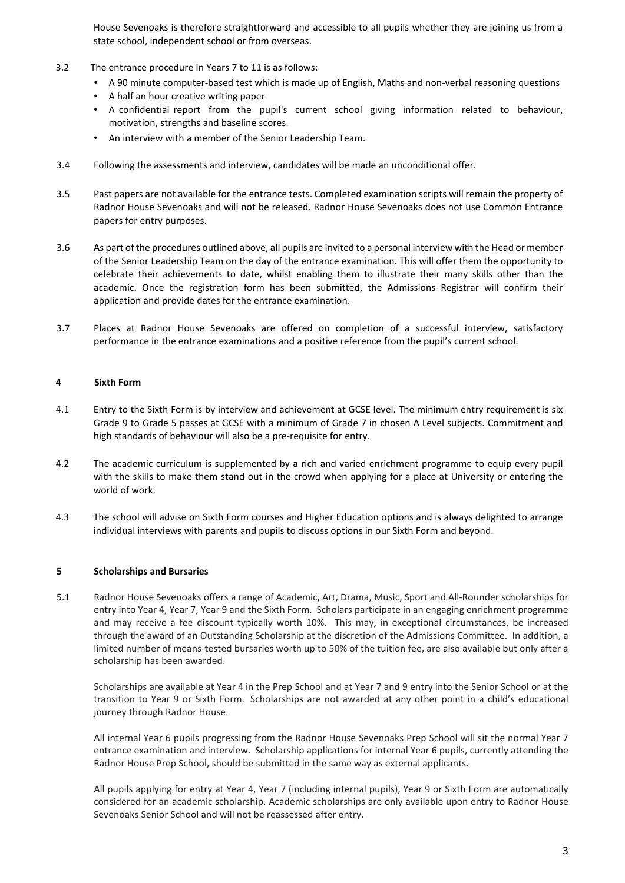House Sevenoaks is therefore straightforward and accessible to all pupils whether they are joining us from a state school, independent school or from overseas.

- 3.2 The entrance procedure In Years 7 to 11 is as follows:
	- A 90 minute computer-based test which is made up of English, Maths and non-verbal reasoning questions
	- A half an hour creative writing paper
	- A confidential report from the pupil's current school giving information related to behaviour, motivation, strengths and baseline scores.
	- An interview with a member of the Senior Leadership Team.
- 3.4 Following the assessments and interview, candidates will be made an unconditional offer.
- 3.5 Past papers are not available for the entrance tests. Completed examination scripts will remain the property of Radnor House Sevenoaks and will not be released. Radnor House Sevenoaks does not use Common Entrance papers for entry purposes.
- 3.6 As part of the procedures outlined above, all pupils are invited to a personal interview with the Head or member of the Senior Leadership Team on the day of the entrance examination. This will offer them the opportunity to celebrate their achievements to date, whilst enabling them to illustrate their many skills other than the academic. Once the registration form has been submitted, the Admissions Registrar will confirm their application and provide dates for the entrance examination.
- 3.7 Places at Radnor House Sevenoaks are offered on completion of a successful interview, satisfactory performance in the entrance examinations and a positive reference from the pupil's current school.

## **4 Sixth Form**

- 4.1 Entry to the Sixth Form is by interview and achievement at GCSE level. The minimum entry requirement is six Grade 9 to Grade 5 passes at GCSE with a minimum of Grade 7 in chosen A Level subjects. Commitment and high standards of behaviour will also be a pre‐requisite for entry.
- 4.2 The academic curriculum is supplemented by a rich and varied enrichment programme to equip every pupil with the skills to make them stand out in the crowd when applying for a place at University or entering the world of work.
- 4.3 The school will advise on Sixth Form courses and Higher Education options and is always delighted to arrange individual interviews with parents and pupils to discuss options in our Sixth Form and beyond.

## **5 Scholarships and Bursaries**

5.1 Radnor House Sevenoaks offers a range of Academic, Art, Drama, Music, Sport and All-Rounder scholarships for entry into Year 4, Year 7, Year 9 and the Sixth Form. Scholars participate in an engaging enrichment programme and may receive a fee discount typically worth 10%. This may, in exceptional circumstances, be increased through the award of an Outstanding Scholarship at the discretion of the Admissions Committee. In addition, a limited number of means-tested bursaries worth up to 50% of the tuition fee, are also available but only after a scholarship has been awarded.

Scholarships are available at Year 4 in the Prep School and at Year 7 and 9 entry into the Senior School or at the transition to Year 9 or Sixth Form. Scholarships are not awarded at any other point in a child's educational journey through Radnor House.

All internal Year 6 pupils progressing from the Radnor House Sevenoaks Prep School will sit the normal Year 7 entrance examination and interview. Scholarship applications for internal Year 6 pupils, currently attending the Radnor House Prep School, should be submitted in the same way as external applicants.

All pupils applying for entry at Year 4, Year 7 (including internal pupils), Year 9 or Sixth Form are automatically considered for an academic scholarship. Academic scholarships are only available upon entry to Radnor House Sevenoaks Senior School and will not be reassessed after entry.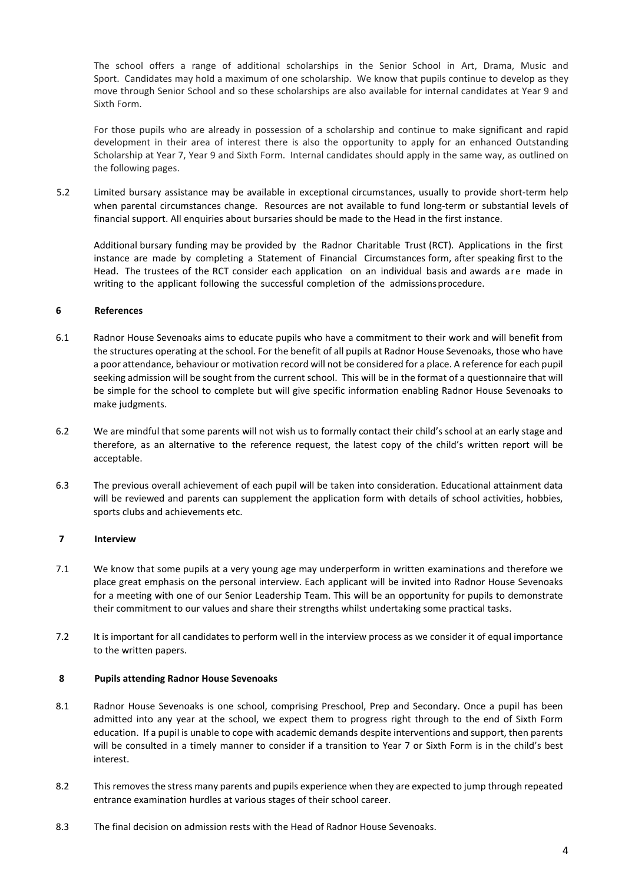The school offers a range of additional scholarships in the Senior School in Art, Drama, Music and Sport. Candidates may hold a maximum of one scholarship. We know that pupils continue to develop as they move through Senior School and so these scholarships are also available for internal candidates at Year 9 and Sixth Form.

For those pupils who are already in possession of a scholarship and continue to make significant and rapid development in their area of interest there is also the opportunity to apply for an enhanced Outstanding Scholarship at Year 7, Year 9 and Sixth Form. Internal candidates should apply in the same way, as outlined on the following pages.

5.2 Limited bursary assistance may be available in exceptional circumstances, usually to provide short-term help when parental circumstances change. Resources are not available to fund long-term or substantial levels of financial support. All enquiries about bursaries should be made to the Head in the first instance.

Additional bursary funding may be provided by the Radnor Charitable Trust (RCT). Applications in the first instance are made by completing a Statement of Financial Circumstances form, after speaking first to the Head. The trustees of the RCT consider each application on an individual basis and awards are made in writing to the applicant following the successful completion of the admissions procedure.

## **6 References**

- 6.1 Radnor House Sevenoaks aims to educate pupils who have a commitment to their work and will benefit from the structures operating at the school. For the benefit of all pupils at Radnor House Sevenoaks, those who have a poor attendance, behaviour or motivation record will not be considered for a place. A reference for each pupil seeking admission will be sought from the current school. This will be in the format of a questionnaire that will be simple for the school to complete but will give specific information enabling Radnor House Sevenoaks to make judgments.
- 6.2 We are mindful that some parents will not wish us to formally contact their child's school at an early stage and therefore, as an alternative to the reference request, the latest copy of the child's written report will be acceptable.
- 6.3 The previous overall achievement of each pupil will be taken into consideration. Educational attainment data will be reviewed and parents can supplement the application form with details of school activities, hobbies, sports clubs and achievements etc.

## **7 Interview**

- 7.1 We know that some pupils at a very young age may underperform in written examinations and therefore we place great emphasis on the personal interview. Each applicant will be invited into Radnor House Sevenoaks for a meeting with one of our Senior Leadership Team. This will be an opportunity for pupils to demonstrate their commitment to our values and share their strengths whilst undertaking some practical tasks.
- 7.2 It is important for all candidates to perform well in the interview process as we consider it of equal importance to the written papers.

## **8 Pupils attending Radnor House Sevenoaks**

- 8.1 Radnor House Sevenoaks is one school, comprising Preschool, Prep and Secondary. Once a pupil has been admitted into any year at the school, we expect them to progress right through to the end of Sixth Form education. If a pupil is unable to cope with academic demands despite interventions and support, then parents will be consulted in a timely manner to consider if a transition to Year 7 or Sixth Form is in the child's best interest.
- 8.2 This removes the stress many parents and pupils experience when they are expected to jump through repeated entrance examination hurdles at various stages of their school career.
- 8.3 The final decision on admission rests with the Head of Radnor House Sevenoaks.